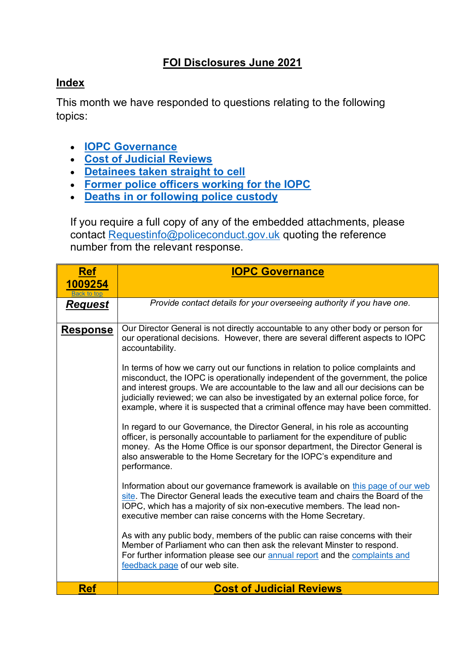# **FOI Disclosures June 2021**

## <span id="page-0-2"></span>**Index**

This month we have responded to questions relating to the following topics:

- **[IOPC Governance](#page-0-0)**
- **[Cost of Judicial Reviews](#page-0-1)**
- **[Detainees taken straight to cell](#page-1-0)**
- **[Former police officers working for the IOPC](#page-3-0)**
- **[Deaths in or following police custody](#page-5-0)**

If you require a full copy of any of the embedded attachments, please contact [Requestinfo@policeconduct.gov.uk](mailto:Requestinfo@policeconduct.gov.uk) quoting the reference number from the relevant response.

<span id="page-0-1"></span><span id="page-0-0"></span>

| <b>Ref</b>      | <b>IOPC Governance</b>                                                                                                                                                                                                                                                                                                                                                                                                        |
|-----------------|-------------------------------------------------------------------------------------------------------------------------------------------------------------------------------------------------------------------------------------------------------------------------------------------------------------------------------------------------------------------------------------------------------------------------------|
| 1009254         |                                                                                                                                                                                                                                                                                                                                                                                                                               |
| <u>Request</u>  | Provide contact details for your overseeing authority if you have one.                                                                                                                                                                                                                                                                                                                                                        |
| <u>Response</u> | Our Director General is not directly accountable to any other body or person for<br>our operational decisions. However, there are several different aspects to IOPC<br>accountability.                                                                                                                                                                                                                                        |
|                 | In terms of how we carry out our functions in relation to police complaints and<br>misconduct, the IOPC is operationally independent of the government, the police<br>and interest groups. We are accountable to the law and all our decisions can be<br>judicially reviewed; we can also be investigated by an external police force, for<br>example, where it is suspected that a criminal offence may have been committed. |
|                 | In regard to our Governance, the Director General, in his role as accounting<br>officer, is personally accountable to parliament for the expenditure of public<br>money. As the Home Office is our sponsor department, the Director General is<br>also answerable to the Home Secretary for the IOPC's expenditure and<br>performance.                                                                                        |
|                 | Information about our governance framework is available on this page of our web<br>site. The Director General leads the executive team and chairs the Board of the<br>IOPC, which has a majority of six non-executive members. The lead non-<br>executive member can raise concerns with the Home Secretary.                                                                                                                  |
|                 | As with any public body, members of the public can raise concerns with their<br>Member of Parliament who can then ask the relevant Minster to respond.<br>For further information please see our annual report and the complaints and<br>feedback page of our web site.                                                                                                                                                       |
| <b>Ref</b>      | <b>Cost of Judicial Reviews</b>                                                                                                                                                                                                                                                                                                                                                                                               |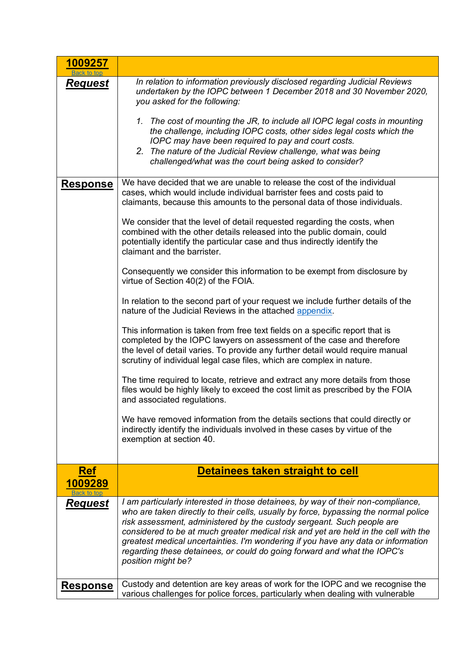<span id="page-1-0"></span>

| 1009257<br>Back to top |                                                                                                                                                                                                                                                                                                                                                                                                                                                                                                                                  |
|------------------------|----------------------------------------------------------------------------------------------------------------------------------------------------------------------------------------------------------------------------------------------------------------------------------------------------------------------------------------------------------------------------------------------------------------------------------------------------------------------------------------------------------------------------------|
| Request                | In relation to information previously disclosed regarding Judicial Reviews<br>undertaken by the IOPC between 1 December 2018 and 30 November 2020,<br>you asked for the following:                                                                                                                                                                                                                                                                                                                                               |
|                        | 1. The cost of mounting the JR, to include all IOPC legal costs in mounting<br>the challenge, including IOPC costs, other sides legal costs which the<br>IOPC may have been required to pay and court costs.<br>2. The nature of the Judicial Review challenge, what was being<br>challenged/what was the court being asked to consider?                                                                                                                                                                                         |
| <b>Response</b>        | We have decided that we are unable to release the cost of the individual<br>cases, which would include individual barrister fees and costs paid to<br>claimants, because this amounts to the personal data of those individuals.                                                                                                                                                                                                                                                                                                 |
|                        | We consider that the level of detail requested regarding the costs, when<br>combined with the other details released into the public domain, could<br>potentially identify the particular case and thus indirectly identify the<br>claimant and the barrister.                                                                                                                                                                                                                                                                   |
|                        | Consequently we consider this information to be exempt from disclosure by<br>virtue of Section 40(2) of the FOIA.                                                                                                                                                                                                                                                                                                                                                                                                                |
|                        | In relation to the second part of your request we include further details of the<br>nature of the Judicial Reviews in the attached appendix.                                                                                                                                                                                                                                                                                                                                                                                     |
|                        | This information is taken from free text fields on a specific report that is<br>completed by the IOPC lawyers on assessment of the case and therefore<br>the level of detail varies. To provide any further detail would require manual<br>scrutiny of individual legal case files, which are complex in nature.                                                                                                                                                                                                                 |
|                        | The time required to locate, retrieve and extract any more details from those<br>files would be highly likely to exceed the cost limit as prescribed by the FOIA<br>and associated regulations.                                                                                                                                                                                                                                                                                                                                  |
|                        | We have removed information from the details sections that could directly or<br>indirectly identify the individuals involved in these cases by virtue of the<br>exemption at section 40.                                                                                                                                                                                                                                                                                                                                         |
| <b>Ref</b>             | Detainees taken straight to cell                                                                                                                                                                                                                                                                                                                                                                                                                                                                                                 |
| 1009289<br>Back to tor |                                                                                                                                                                                                                                                                                                                                                                                                                                                                                                                                  |
| <u>Request</u>         | I am particularly interested in those detainees, by way of their non-compliance,<br>who are taken directly to their cells, usually by force, bypassing the normal police<br>risk assessment, administered by the custody sergeant. Such people are<br>considered to be at much greater medical risk and yet are held in the cell with the<br>greatest medical uncertainties. I'm wondering if you have any data or information<br>regarding these detainees, or could do going forward and what the IOPC's<br>position might be? |
| <b>Response</b>        | Custody and detention are key areas of work for the IOPC and we recognise the<br>various challenges for police forces, particularly when dealing with vulnerable                                                                                                                                                                                                                                                                                                                                                                 |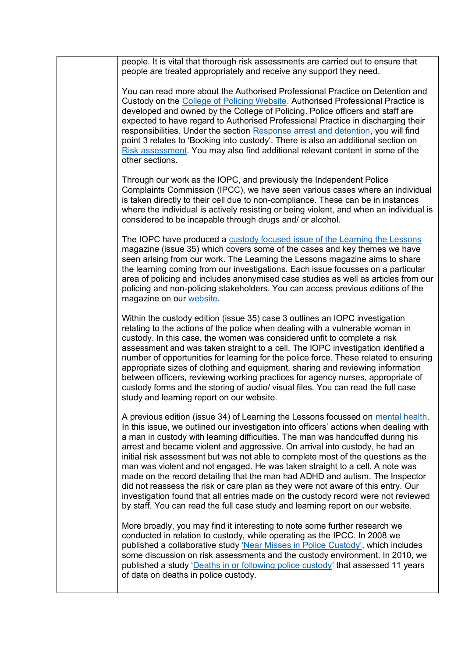| people. It is vital that thorough risk assessments are carried out to ensure that<br>people are treated appropriately and receive any support they need.                                                                                                                                                                                                                                                                                                                                                                                                                                                                                                                                                                                                                                                                                                    |
|-------------------------------------------------------------------------------------------------------------------------------------------------------------------------------------------------------------------------------------------------------------------------------------------------------------------------------------------------------------------------------------------------------------------------------------------------------------------------------------------------------------------------------------------------------------------------------------------------------------------------------------------------------------------------------------------------------------------------------------------------------------------------------------------------------------------------------------------------------------|
| You can read more about the Authorised Professional Practice on Detention and<br>Custody on the College of Policing Website. Authorised Professional Practice is<br>developed and owned by the College of Policing. Police officers and staff are<br>expected to have regard to Authorised Professional Practice in discharging their<br>responsibilities. Under the section Response arrest and detention, you will find<br>point 3 relates to 'Booking into custody'. There is also an additional section on<br>Risk assessment. You may also find additional relevant content in some of the<br>other sections.                                                                                                                                                                                                                                          |
| Through our work as the IOPC, and previously the Independent Police<br>Complaints Commission (IPCC), we have seen various cases where an individual<br>is taken directly to their cell due to non-compliance. These can be in instances<br>where the individual is actively resisting or being violent, and when an individual is<br>considered to be incapable through drugs and/ or alcohol.                                                                                                                                                                                                                                                                                                                                                                                                                                                              |
| The IOPC have produced a custody focused issue of the Learning the Lessons<br>magazine (issue 35) which covers some of the cases and key themes we have<br>seen arising from our work. The Learning the Lessons magazine aims to share<br>the learning coming from our investigations. Each issue focusses on a particular<br>area of policing and includes anonymised case studies as well as articles from our<br>policing and non-policing stakeholders. You can access previous editions of the<br>magazine on our website.                                                                                                                                                                                                                                                                                                                             |
| Within the custody edition (issue 35) case 3 outlines an IOPC investigation<br>relating to the actions of the police when dealing with a vulnerable woman in<br>custody. In this case, the women was considered unfit to complete a risk<br>assessment and was taken straight to a cell. The IOPC investigation identified a<br>number of opportunities for learning for the police force. These related to ensuring<br>appropriate sizes of clothing and equipment, sharing and reviewing information<br>between officers, reviewing working practices for agency nurses, appropriate of<br>custody forms and the storing of audio/ visual files. You can read the full case<br>study and learning report on our website.                                                                                                                                  |
| A previous edition (issue 34) of Learning the Lessons focussed on mental health.<br>In this issue, we outlined our investigation into officers' actions when dealing with<br>a man in custody with learning difficulties. The man was handcuffed during his<br>arrest and became violent and aggressive. On arrival into custody, he had an<br>initial risk assessment but was not able to complete most of the questions as the<br>man was violent and not engaged. He was taken straight to a cell. A note was<br>made on the record detailing that the man had ADHD and autism. The Inspector<br>did not reassess the risk or care plan as they were not aware of this entry. Our<br>investigation found that all entries made on the custody record were not reviewed<br>by staff. You can read the full case study and learning report on our website. |
| More broadly, you may find it interesting to note some further research we<br>conducted in relation to custody, while operating as the IPCC. In 2008 we<br>published a collaborative study 'Near Misses in Police Custody', which includes<br>some discussion on risk assessments and the custody environment. In 2010, we<br>published a study 'Deaths in or following police custody' that assessed 11 years<br>of data on deaths in police custody.                                                                                                                                                                                                                                                                                                                                                                                                      |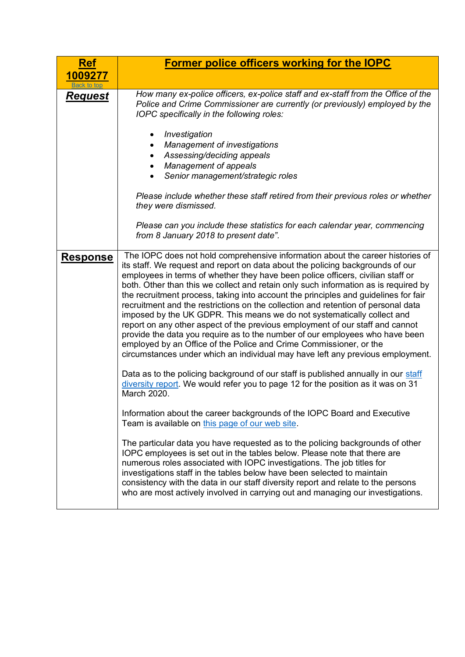<span id="page-3-0"></span>

| <b>Ref</b>             | Former police officers working for the IOPC                                                                                                                                                                                                                                                                                                                                                                                                                                                                                                                                                                                                                                                                                                                                                                                                                                                                                                                                                                                                                                                                                                                                                                                                                                                                                                                                                                                                                                                                                                                                                                                                                                                                                                    |  |  |  |  |  |
|------------------------|------------------------------------------------------------------------------------------------------------------------------------------------------------------------------------------------------------------------------------------------------------------------------------------------------------------------------------------------------------------------------------------------------------------------------------------------------------------------------------------------------------------------------------------------------------------------------------------------------------------------------------------------------------------------------------------------------------------------------------------------------------------------------------------------------------------------------------------------------------------------------------------------------------------------------------------------------------------------------------------------------------------------------------------------------------------------------------------------------------------------------------------------------------------------------------------------------------------------------------------------------------------------------------------------------------------------------------------------------------------------------------------------------------------------------------------------------------------------------------------------------------------------------------------------------------------------------------------------------------------------------------------------------------------------------------------------------------------------------------------------|--|--|--|--|--|
| 1009277<br>Back to top |                                                                                                                                                                                                                                                                                                                                                                                                                                                                                                                                                                                                                                                                                                                                                                                                                                                                                                                                                                                                                                                                                                                                                                                                                                                                                                                                                                                                                                                                                                                                                                                                                                                                                                                                                |  |  |  |  |  |
| <b>Request</b>         | How many ex-police officers, ex-police staff and ex-staff from the Office of the<br>Police and Crime Commissioner are currently (or previously) employed by the<br>IOPC specifically in the following roles:                                                                                                                                                                                                                                                                                                                                                                                                                                                                                                                                                                                                                                                                                                                                                                                                                                                                                                                                                                                                                                                                                                                                                                                                                                                                                                                                                                                                                                                                                                                                   |  |  |  |  |  |
|                        | Investigation<br>٠<br><b>Management of investigations</b><br>Assessing/deciding appeals<br><b>Management of appeals</b><br>Senior management/strategic roles                                                                                                                                                                                                                                                                                                                                                                                                                                                                                                                                                                                                                                                                                                                                                                                                                                                                                                                                                                                                                                                                                                                                                                                                                                                                                                                                                                                                                                                                                                                                                                                   |  |  |  |  |  |
|                        | Please include whether these staff retired from their previous roles or whether<br>they were dismissed.                                                                                                                                                                                                                                                                                                                                                                                                                                                                                                                                                                                                                                                                                                                                                                                                                                                                                                                                                                                                                                                                                                                                                                                                                                                                                                                                                                                                                                                                                                                                                                                                                                        |  |  |  |  |  |
|                        | Please can you include these statistics for each calendar year, commencing<br>from 8 January 2018 to present date".                                                                                                                                                                                                                                                                                                                                                                                                                                                                                                                                                                                                                                                                                                                                                                                                                                                                                                                                                                                                                                                                                                                                                                                                                                                                                                                                                                                                                                                                                                                                                                                                                            |  |  |  |  |  |
| <b>Response</b>        | The IOPC does not hold comprehensive information about the career histories of<br>its staff. We request and report on data about the policing backgrounds of our<br>employees in terms of whether they have been police officers, civilian staff or<br>both. Other than this we collect and retain only such information as is required by<br>the recruitment process, taking into account the principles and guidelines for fair<br>recruitment and the restrictions on the collection and retention of personal data<br>imposed by the UK GDPR. This means we do not systematically collect and<br>report on any other aspect of the previous employment of our staff and cannot<br>provide the data you require as to the number of our employees who have been<br>employed by an Office of the Police and Crime Commissioner, or the<br>circumstances under which an individual may have left any previous employment.<br>Data as to the policing background of our staff is published annually in our staff<br>diversity report. We would refer you to page 12 for the position as it was on 31<br>March 2020.<br>Information about the career backgrounds of the IOPC Board and Executive<br>Team is available on this page of our web site.<br>The particular data you have requested as to the policing backgrounds of other<br>IOPC employees is set out in the tables below. Please note that there are<br>numerous roles associated with IOPC investigations. The job titles for<br>investigations staff in the tables below have been selected to maintain<br>consistency with the data in our staff diversity report and relate to the persons<br>who are most actively involved in carrying out and managing our investigations. |  |  |  |  |  |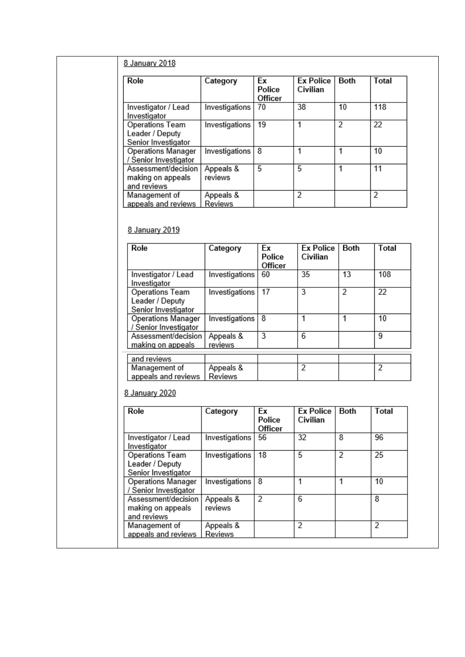### 8 January 2018

| Role                                                      | Category             | Ex<br>Police<br>Officer | <b>Ex Police</b><br>Civilian | Both | Total |
|-----------------------------------------------------------|----------------------|-------------------------|------------------------------|------|-------|
| Investigator / Lead<br>Investigator                       | Investigations       | 70                      | 38                           | 10   | 118   |
| Operations Team<br>Leader / Deputy<br>Senior Investigator | Investigations       | 19                      | 1                            | 2    | 22    |
| <b>Operations Manager</b><br>/ Senior Investigator        | Investigations       | 8                       |                              |      | 10    |
| Assessment/decision<br>making on appeals<br>and reviews   | Appeals &<br>reviews | 5                       | 5                            |      | 11    |
| Management of<br>appeals and reviews                      | Appeals &<br>Reviews |                         | 2                            |      | 2     |

#### 8 January 2019

| Role                                                      | Category             | Εx<br>Police<br>Officer | <b>Ex Police</b><br>Civilian | Both | Total |
|-----------------------------------------------------------|----------------------|-------------------------|------------------------------|------|-------|
| Investigator / Lead<br>Investigator                       | Investigations       | 60                      | 35                           | 13   | 108   |
| Operations Team<br>Leader / Deputy<br>Senior Investigator | Investigations       | 17                      | 3                            | 2    | 22    |
| Operations Manager<br>/ Senior Investigator               | Investigations       | 8                       |                              | 1    | 10    |
| Assessment/decision<br>making on appeals                  | Appeals &<br>reviews | 3                       | 6                            |      | 9     |
| and reviews                                               |                      |                         |                              |      |       |
| Management of<br>appeals and reviews                      | Appeals &<br>Reviews |                         | 2                            |      | 2     |

### 8 January 2020

| Role                                                      | Category             | Ex<br>Police<br>Officer | <b>Ex Police</b><br>Civilian | Both | Total |
|-----------------------------------------------------------|----------------------|-------------------------|------------------------------|------|-------|
| Investigator / Lead<br>Investigator                       | Investigations       | 56                      | 32                           | 8    | 96    |
| Operations Team<br>Leader / Deputy<br>Senior Investigator | Investigations       | 18                      | 5                            | 2    | 25    |
| Operations Manager<br>/ Senior Investigator               | Investigations       | 8                       |                              |      | 10    |
| Assessment/decision<br>making on appeals<br>and reviews   | Appeals &<br>reviews | 2                       | 6                            |      | 8     |
| Management of<br>appeals and reviews                      | Appeals &<br>Reviews |                         | 2                            |      | 2     |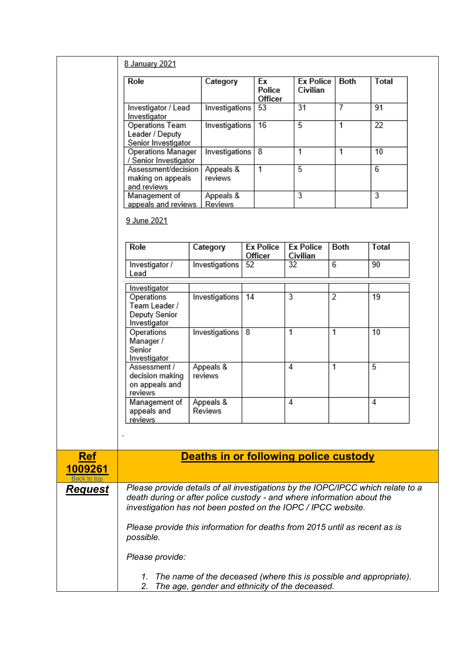<span id="page-5-0"></span>

|                                      | 8 January 2021                                                                                                                                                                                                             |                                       |                             |                              |                |                 |  |
|--------------------------------------|----------------------------------------------------------------------------------------------------------------------------------------------------------------------------------------------------------------------------|---------------------------------------|-----------------------------|------------------------------|----------------|-----------------|--|
|                                      | Role                                                                                                                                                                                                                       | Category                              | Ex<br>Police<br>Officer     | <b>Ex Police</b><br>Civilian | Both           | Total           |  |
|                                      | Investigator / Lead<br>Investigator                                                                                                                                                                                        | Investigations                        | 53                          | 31                           | $\overline{7}$ | 91              |  |
|                                      | Operations Team<br>Leader / Deputy<br>Senior Investigator                                                                                                                                                                  | Investigations                        | 16                          | $\overline{5}$               | $\overline{1}$ | $\overline{22}$ |  |
|                                      | Operations Manager<br>/ Senior Investigator                                                                                                                                                                                | Investigations                        | 8                           | 1                            | 1              | 10              |  |
|                                      | Assessment/decision<br>making on appeals<br>and reviews                                                                                                                                                                    | Appeals &<br>reviews                  | $\overline{1}$              | $\overline{5}$               |                | 6               |  |
|                                      | Management of<br>appeals and reviews                                                                                                                                                                                       | Appeals &<br>Reviews                  |                             | 3                            |                | 3               |  |
|                                      | 9 June 2021                                                                                                                                                                                                                |                                       |                             |                              |                |                 |  |
|                                      | Role                                                                                                                                                                                                                       | Category                              | <b>Ex Police</b><br>Officer | <b>Ex Police</b><br>Civilian | Both           | Total           |  |
|                                      | Investigator /<br>Lead                                                                                                                                                                                                     | Investigations                        | 52                          | 32                           | 6              | 90              |  |
|                                      | Investigator                                                                                                                                                                                                               |                                       |                             |                              |                |                 |  |
|                                      | Operations<br>Team Leader /<br>Deputy Senior<br>Investigator                                                                                                                                                               | Investigations                        | 14                          | 3                            | $\overline{2}$ | 19              |  |
|                                      | Operations<br>Manager /<br>Senior<br>Investigator                                                                                                                                                                          | Investigations                        | 8                           | 1                            | 1              | 10              |  |
|                                      | Assessment /<br>decision making<br>on appeals and<br>reviews                                                                                                                                                               | Appeals &<br>reviews                  |                             | $\overline{4}$               | 1              | $\overline{5}$  |  |
|                                      | Management of<br>appeals and<br>reviews                                                                                                                                                                                    | Appeals &<br>Reviews                  |                             | 4                            |                | 4               |  |
|                                      |                                                                                                                                                                                                                            |                                       |                             |                              |                |                 |  |
| <b>Ref</b><br>1009261<br>Back to top |                                                                                                                                                                                                                            | Deaths in or following police custody |                             |                              |                |                 |  |
| <b>Request</b>                       | Please provide details of all investigations by the IOPC/IPCC which relate to a<br>death during or after police custody - and where information about the<br>investigation has not been posted on the IOPC / IPCC website. |                                       |                             |                              |                |                 |  |
|                                      | Please provide this information for deaths from 2015 until as recent as is<br>possible.                                                                                                                                    |                                       |                             |                              |                |                 |  |
|                                      | Please provide:                                                                                                                                                                                                            |                                       |                             |                              |                |                 |  |
|                                      | The name of the deceased (where this is possible and appropriate).<br>1.<br>The age, gender and ethnicity of the deceased.<br>2.                                                                                           |                                       |                             |                              |                |                 |  |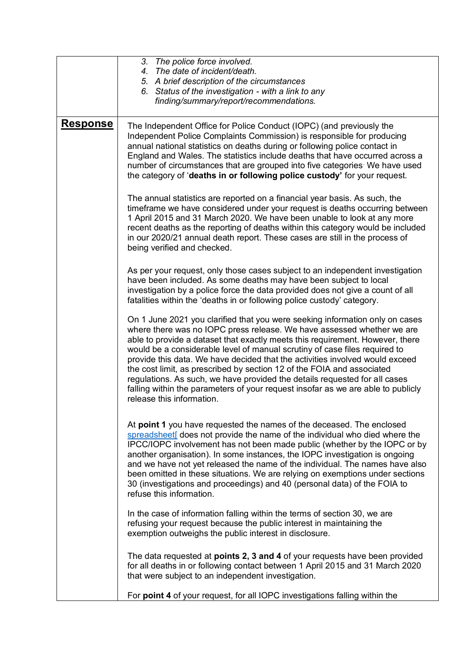|                 | 3. The police force involved.<br>4. The date of incident/death.<br>5. A brief description of the circumstances<br>6. Status of the investigation - with a link to any<br>finding/summary/report/recommendations.                                                                                                                                                                                                                                                                                                                                                                                                                                                               |
|-----------------|--------------------------------------------------------------------------------------------------------------------------------------------------------------------------------------------------------------------------------------------------------------------------------------------------------------------------------------------------------------------------------------------------------------------------------------------------------------------------------------------------------------------------------------------------------------------------------------------------------------------------------------------------------------------------------|
| <u>Response</u> | The Independent Office for Police Conduct (IOPC) (and previously the<br>Independent Police Complaints Commission) is responsible for producing<br>annual national statistics on deaths during or following police contact in<br>England and Wales. The statistics include deaths that have occurred across a<br>number of circumstances that are grouped into five categories We have used<br>the category of 'deaths in or following police custody' for your request.                                                                                                                                                                                                        |
|                 | The annual statistics are reported on a financial year basis. As such, the<br>timeframe we have considered under your request is deaths occurring between<br>1 April 2015 and 31 March 2020. We have been unable to look at any more<br>recent deaths as the reporting of deaths within this category would be included<br>in our 2020/21 annual death report. These cases are still in the process of<br>being verified and checked.                                                                                                                                                                                                                                          |
|                 | As per your request, only those cases subject to an independent investigation<br>have been included. As some deaths may have been subject to local<br>investigation by a police force the data provided does not give a count of all<br>fatalities within the 'deaths in or following police custody' category.                                                                                                                                                                                                                                                                                                                                                                |
|                 | On 1 June 2021 you clarified that you were seeking information only on cases<br>where there was no IOPC press release. We have assessed whether we are<br>able to provide a dataset that exactly meets this requirement. However, there<br>would be a considerable level of manual scrutiny of case files required to<br>provide this data. We have decided that the activities involved would exceed<br>the cost limit, as prescribed by section 12 of the FOIA and associated<br>regulations. As such, we have provided the details requested for all cases<br>falling within the parameters of your request insofar as we are able to publicly<br>release this information. |
|                 | At point 1 you have requested the names of the deceased. The enclosed<br>spreadsheet does not provide the name of the individual who died where the<br>IPCC/IOPC involvement has not been made public (whether by the IOPC or by<br>another organisation). In some instances, the IOPC investigation is ongoing<br>and we have not yet released the name of the individual. The names have also<br>been omitted in these situations. We are relying on exemptions under sections<br>30 (investigations and proceedings) and 40 (personal data) of the FOIA to<br>refuse this information.                                                                                      |
|                 | In the case of information falling within the terms of section 30, we are<br>refusing your request because the public interest in maintaining the<br>exemption outweighs the public interest in disclosure.                                                                                                                                                                                                                                                                                                                                                                                                                                                                    |
|                 | The data requested at <b>points 2, 3 and 4</b> of your requests have been provided<br>for all deaths in or following contact between 1 April 2015 and 31 March 2020<br>that were subject to an independent investigation.                                                                                                                                                                                                                                                                                                                                                                                                                                                      |
|                 | For point 4 of your request, for all IOPC investigations falling within the                                                                                                                                                                                                                                                                                                                                                                                                                                                                                                                                                                                                    |